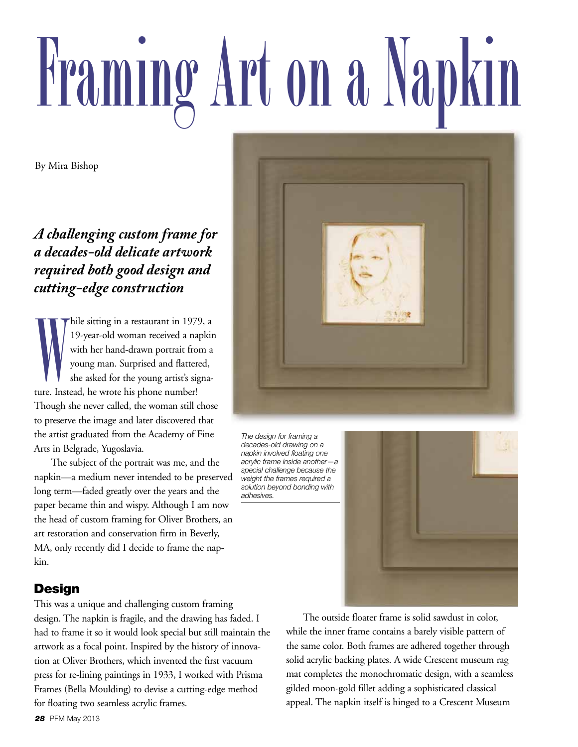# **Framing Art on a Napkin**

By Mira Bishop

*A challenging custom frame for a decades-old delicate artwork required both good design and cutting-edge construction*

ture. Instead, he wrote his phone number!<br>Though she never called, the woman still to<br>to preserve the image and later discovered<br>the artist graduated from the Academy of<br>Arts in Belgrade, Yugoslavia.<br>The subject of the por hile sitting in a restaurant in 1979, a 19-year-old woman received a napkin with her hand-drawn portrait from a young man. Surprised and flattered, she asked for the young artist's signa-Though she never called, the woman still chose to preserve the image and later discovered that the artist graduated from the Academy of Fine Arts in Belgrade, Yugoslavia.

The subject of the portrait was me, and the napkin—a medium never intended to be preserved long term—faded greatly over the years and the paper became thin and wispy. Although I am now the head of custom framing for Oliver Brothers, an art restoration and conservation firm in Beverly, MA, only recently did I decide to frame the napkin.

### **Design**

This was a unique and challenging custom framing design. The napkin is fragile, and the drawing has faded. I had to frame it so it would look special but still maintain the artwork as a focal point. Inspired by the history of innovation at Oliver Brothers, which invented the first vacuum press for re-lining paintings in 1933, I worked with Prisma Frames (Bella Moulding) to devise a cutting-edge method for floating two seamless acrylic frames.



*The design for framing a decades-old drawing on a napkin involved floating one acrylic frame inside another—a special challenge because the weight the frames required a solution beyond bonding with adhesives.*



The outside floater frame is solid sawdust in color, while the inner frame contains a barely visible pattern of the same color. Both frames are adhered together through solid acrylic backing plates. A wide Crescent museum rag mat completes the monochromatic design, with a seamless gilded moon-gold fillet adding a sophisticated classical appeal. The napkin itself is hinged to a Crescent Museum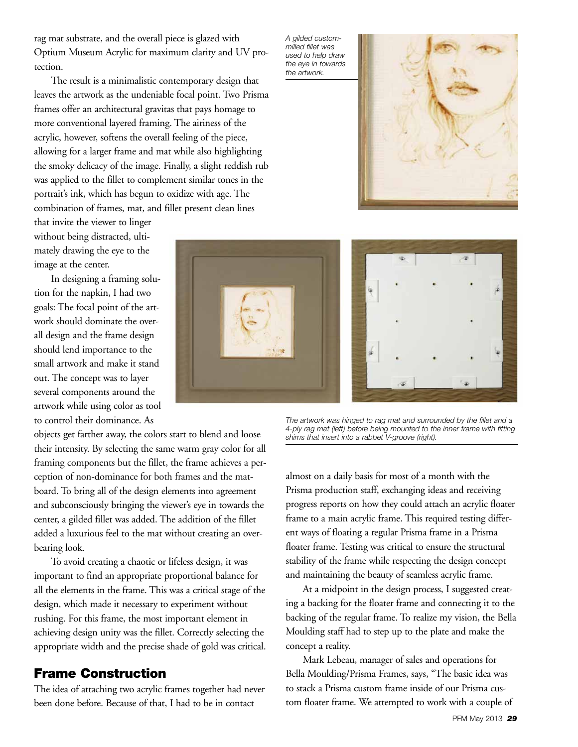rag mat substrate, and the overall piece is glazed with Optium Museum Acrylic for maximum clarity and UV protection.

The result is a minimalistic contemporary design that leaves the artwork as the undeniable focal point. Two Prisma frames offer an architectural gravitas that pays homage to more conventional layered framing. The airiness of the acrylic, however, softens the overall feeling of the piece, allowing for a larger frame and mat while also highlighting the smoky delicacy of the image. Finally, a slight reddish rub was applied to the fillet to complement similar tones in the portrait's ink, which has begun to oxidize with age. The combination of frames, mat, and fillet present clean lines

that invite the viewer to linger without being distracted, ultimately drawing the eye to the image at the center.

In designing a framing solution for the napkin, I had two goals: The focal point of the artwork should dominate the overall design and the frame design should lend importance to the small artwork and make it stand out. The concept was to layer several components around the artwork while using color as tool to control their dominance. As

objects get farther away, the colors start to blend and loose their intensity. By selecting the same warm gray color for all framing components but the fillet, the frame achieves a perception of non-dominance for both frames and the matboard. To bring all of the design elements into agreement and subconsciously bringing the viewer's eye in towards the center, a gilded fillet was added. The addition of the fillet added a luxurious feel to the mat without creating an overbearing look.

To avoid creating a chaotic or lifeless design, it was important to find an appropriate proportional balance for all the elements in the frame. This was a critical stage of the design, which made it necessary to experiment without rushing. For this frame, the most important element in achieving design unity was the fillet. Correctly selecting the appropriate width and the precise shade of gold was critical.

### **Frame Construction**

The idea of attaching two acrylic frames together had never been done before. Because of that, I had to be in contact

*A gilded custommilled fillet was used to help draw the eye in towards the artwork.* 





*The artwork was hinged to rag mat and surrounded by the fillet and a 4-ply rag mat (left) before being mounted to the inner frame with fitting shims that insert into a rabbet V-groove (right).*

almost on a daily basis for most of a month with the Prisma production staff, exchanging ideas and receiving progress reports on how they could attach an acrylic floater frame to a main acrylic frame. This required testing different ways of floating a regular Prisma frame in a Prisma floater frame. Testing was critical to ensure the structural stability of the frame while respecting the design concept and maintaining the beauty of seamless acrylic frame.

At a midpoint in the design process, I suggested creating a backing for the floater frame and connecting it to the backing of the regular frame. To realize my vision, the Bella Moulding staff had to step up to the plate and make the concept a reality.

Mark Lebeau, manager of sales and operations for Bella Moulding/Prisma Frames, says, "The basic idea was to stack a Prisma custom frame inside of our Prisma custom floater frame. We attempted to work with a couple of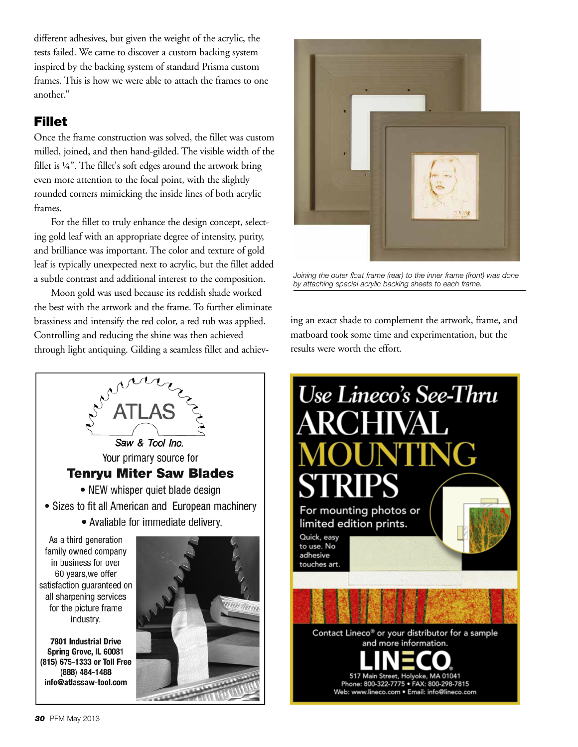different adhesives, but given the weight of the acrylic, the tests failed. We came to discover a custom backing system inspired by the backing system of standard Prisma custom frames. This is how we were able to attach the frames to one another."

### **Fillet**

Once the frame construction was solved, the fillet was custom milled, joined, and then hand-gilded. The visible width of the fillet is ¼". The fillet's soft edges around the artwork bring even more attention to the focal point, with the slightly rounded corners mimicking the inside lines of both acrylic frames.

For the fillet to truly enhance the design concept, selecting gold leaf with an appropriate degree of intensity, purity, and brilliance was important. The color and texture of gold leaf is typically unexpected next to acrylic, but the fillet added a subtle contrast and additional interest to the composition.

Moon gold was used because its reddish shade worked the best with the artwork and the frame. To further eliminate brassiness and intensify the red color, a red rub was applied. Controlling and reducing the shine was then achieved through light antiquing. Gilding a seamless fillet and achiev-





*Joining the outer float frame (rear) to the inner frame (front) was done by attaching special acrylic backing sheets to each frame.*

ing an exact shade to complement the artwork, frame, and matboard took some time and experimentation, but the results were worth the effort.